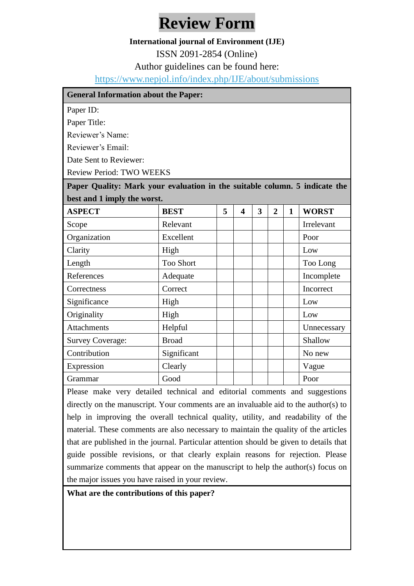## **Review Form**

## **International journal of Environment (IJE)**

ISSN 2091-2854 (Online)

Author guidelines can be found here:

<https://www.nepjol.info/index.php/IJE/about/submissions>

| <b>General Information about the Paper:</b>                                |                  |   |                         |   |                |              |              |
|----------------------------------------------------------------------------|------------------|---|-------------------------|---|----------------|--------------|--------------|
| Paper ID:                                                                  |                  |   |                         |   |                |              |              |
| Paper Title:                                                               |                  |   |                         |   |                |              |              |
| Reviewer's Name:                                                           |                  |   |                         |   |                |              |              |
| Reviewer's Email:                                                          |                  |   |                         |   |                |              |              |
| Date Sent to Reviewer:                                                     |                  |   |                         |   |                |              |              |
| <b>Review Period: TWO WEEKS</b>                                            |                  |   |                         |   |                |              |              |
| Paper Quality: Mark your evaluation in the suitable column. 5 indicate the |                  |   |                         |   |                |              |              |
| best and 1 imply the worst.                                                |                  |   |                         |   |                |              |              |
| <b>ASPECT</b>                                                              | <b>BEST</b>      | 5 | $\overline{\mathbf{4}}$ | 3 | $\overline{2}$ | $\mathbf{1}$ | <b>WORST</b> |
| Scope                                                                      | Relevant         |   |                         |   |                |              | Irrelevant   |
| Organization                                                               | Excellent        |   |                         |   |                |              | Poor         |
| Clarity                                                                    | High             |   |                         |   |                |              | Low          |
| Length                                                                     | <b>Too Short</b> |   |                         |   |                |              | Too Long     |
| References                                                                 | Adequate         |   |                         |   |                |              | Incomplete   |
| Correctness                                                                | Correct          |   |                         |   |                |              | Incorrect    |
| Significance                                                               | High             |   |                         |   |                |              | Low          |
| Originality                                                                | High             |   |                         |   |                |              | Low          |
| <b>Attachments</b>                                                         | Helpful          |   |                         |   |                |              | Unnecessary  |
| <b>Survey Coverage:</b>                                                    | <b>Broad</b>     |   |                         |   |                |              | Shallow      |
| Contribution                                                               | Significant      |   |                         |   |                |              | No new       |
| Expression                                                                 | Clearly          |   |                         |   |                |              | Vague        |
| Grammar                                                                    | Good             |   |                         |   |                |              | Poor         |

Please make very detailed technical and editorial comments and suggestions directly on the manuscript. Your comments are an invaluable aid to the author(s) to help in improving the overall technical quality, utility, and readability of the material. These comments are also necessary to maintain the quality of the articles that are published in the journal. Particular attention should be given to details that guide possible revisions, or that clearly explain reasons for rejection. Please summarize comments that appear on the manuscript to help the author(s) focus on the major issues you have raised in your review.

**What are the contributions of this paper?**